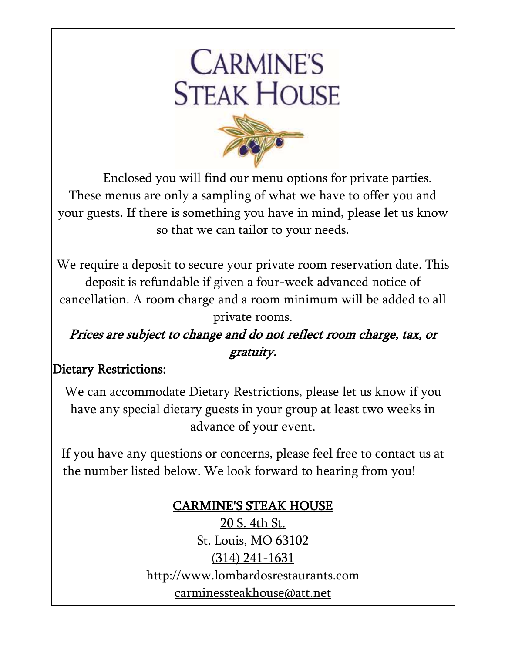# **CARMINE'S STEAK HOUSE**



Enclosed you will find our menu options for private parties. These menus are only a sampling of what we have to offer you and your guests. If there is something you have in mind, please let us know so that we can tailor to your needs.

We require a deposit to secure your private room reservation date. This deposit is refundable if given a four-week advanced notice of cancellation. A room charge and a room minimum will be added to all private rooms.

### Prices are subject to change and do not reflect room charge, tax, or gratuity.

#### Dietary Restrictions:

We can accommodate Dietary Restrictions, please let us know if you have any special dietary guests in your group at least two weeks in advance of your event.

If you have any questions or concerns, please feel free to contact us at the number listed below. We look forward to hearing from you!

### CARMINE'S STEAK HOUSE

20 S. 4th St. St. Louis, MO 63102 (314) 241-1631 [http://www.lombardosrestaurants.com](http://www.lombardosrestaurants.com/) [carminessteakhouse@att.net](mailto:carminessteakhouse@att.net)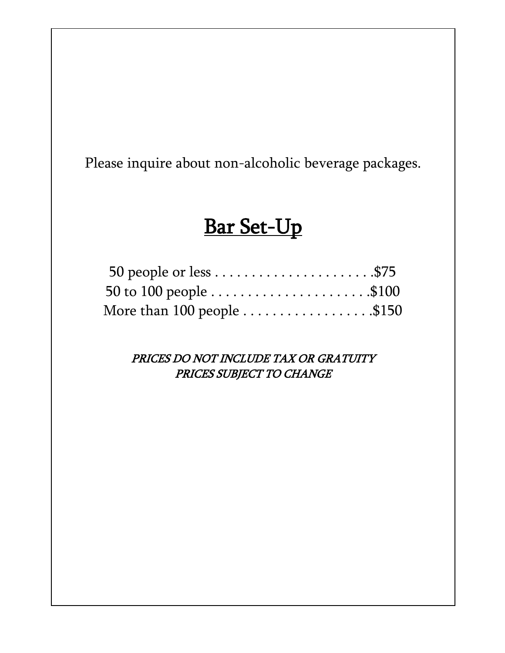Please inquire about non-alcoholic beverage packages.

# Bar Set-Up

| 50 people or less $\dots \dots \dots \dots \dots \dots \dots$ . \$75 |  |
|----------------------------------------------------------------------|--|
|                                                                      |  |
| More than 100 people \$150                                           |  |

PRICES DO NOT INCLUDE TAX OR GRATUITY PRICES SUBJECT TO CHANGE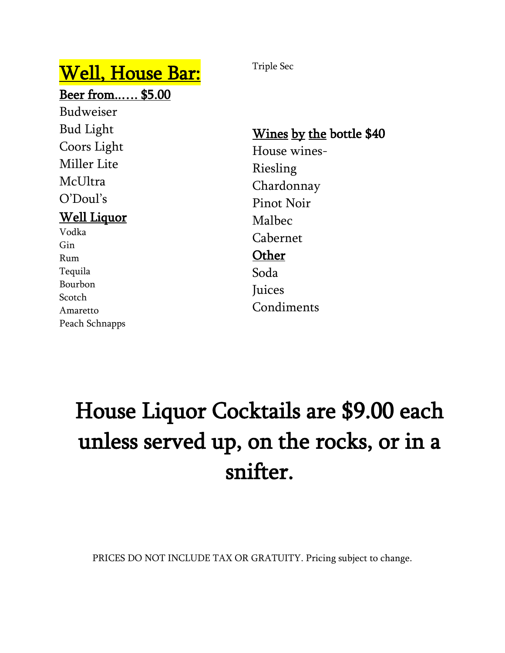# Well, House Bar:

Beer from..…. \$5.00

Budweiser Bud Light Coors Light Miller Lite McUltra O'Doul's Well Liquor Vodka Gin

Rum Tequila Bourbon Scotch Amaretto Peach Schnapps Triple Sec

Wines by the bottle \$40 House wines-Riesling Chardonnay Pinot Noir Malbec Cabernet **Other** Soda **Juices** Condiments

# House Liquor Cocktails are \$9.00 each unless served up, on the rocks, or in a snifter.

PRICES DO NOT INCLUDE TAX OR GRATUITY. Pricing subject to change.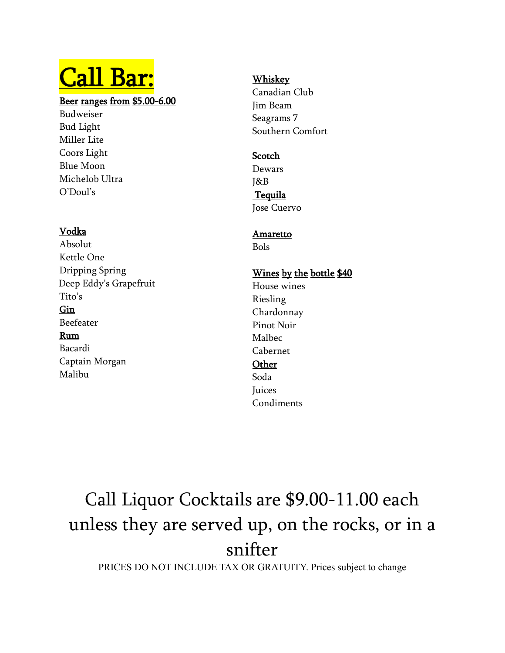# Call Bar:

#### Beer ranges from \$5.00-6.00

Budweiser Bud Light Miller Lite Coors Light Blue Moon Michelob Ultra O'Doul's

#### Vodka

Absolut Kettle One Dripping Spring Deep Eddy's Grapefruit Tito's Gin Beefeater Rum Bacardi Captain Morgan Malibu

#### **Whiskey**

Canadian Club Jim Beam Seagrams 7 Southern Comfort

#### **Scotch**

Dewars J&B **Tequila** 

Jose Cuervo

### Amaretto

Bols

#### Wines by the bottle \$40

House wines Riesling Chardonnay Pinot Noir Malbec Cabernet **Other** Soda

#### **Juices** Condiments

# Call Liquor Cocktails are \$9.00-11.00 each unless they are served up, on the rocks, or in a snifter

PRICES DO NOT INCLUDE TAX OR GRATUITY. Prices subject to change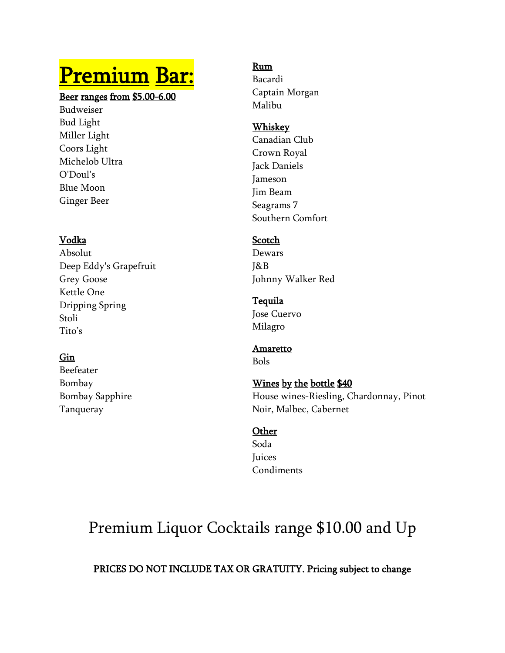# Premium Bar:

#### Beer ranges from \$5.00-6.00

Budweiser Bud Light Miller Light Coors Light Michelob Ultra O'Doul's Blue Moon Ginger Beer

#### Vodka

Absolut Deep Eddy's Grapefruit Grey Goose Kettle One Dripping Spring Stoli Tito's

#### Gin

Beefeater Bombay Bombay Sapphire Tanqueray

#### Rum

Bacardi Captain Morgan Malibu

#### Whiskey

Canadian Club Crown Royal Jack Daniels Jameson Jim Beam Seagrams 7 Southern Comfort

#### **Scotch**

Dewars J&B Johnny Walker Red

## Tequila

Jose Cuervo Milagro

#### Amaretto

Bols

#### Wines by the bottle \$40 House wines-Riesling, Chardonnay, Pinot Noir, Malbec, Cabernet

#### **Other**

Soda **Juices** Condiments

## Premium Liquor Cocktails range \$10.00 and Up

PRICES DO NOT INCLUDE TAX OR GRATUITY. Pricing subject to change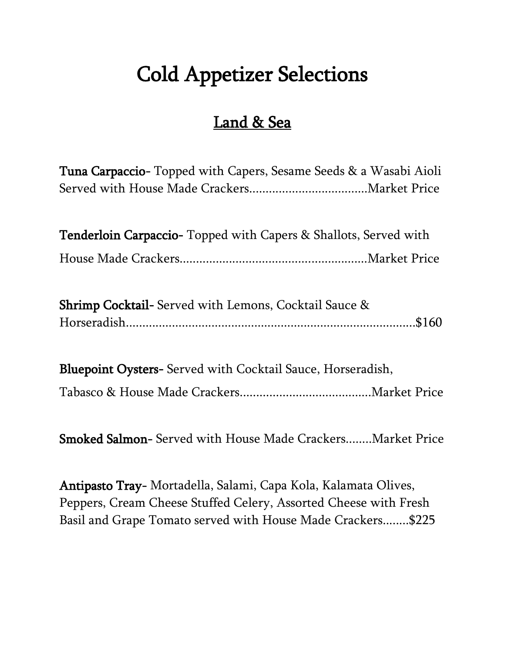# Cold Appetizer Selections

### Land & Sea

Tuna Carpaccio- Topped with Capers, Sesame Seeds & a Wasabi Aioli Served with House Made Crackers....................................Market Price

| Tenderloin Carpaccio- Topped with Capers & Shallots, Served with |  |
|------------------------------------------------------------------|--|
|                                                                  |  |

| Shrimp Cocktail- Served with Lemons, Cocktail Sauce & |  |
|-------------------------------------------------------|--|
|                                                       |  |

Bluepoint Oysters- Served with Cocktail Sauce, Horseradish,

Tabasco & House Made Crackers........................................Market Price

Smoked Salmon- Served with House Made Crackers........Market Price

Antipasto Tray- Mortadella, Salami, Capa Kola, Kalamata Olives, Peppers, Cream Cheese Stuffed Celery, Assorted Cheese with Fresh Basil and Grape Tomato served with House Made Crackers........\$225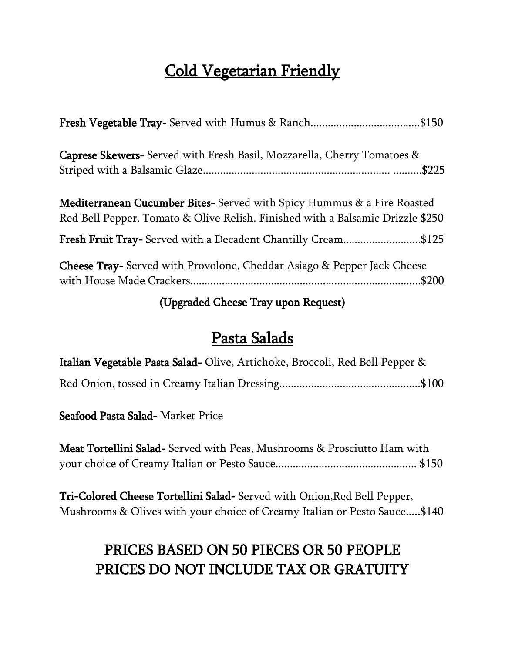### Cold Vegetarian Friendly

| <b>Caprese Skewers-</b> Served with Fresh Basil, Mozzarella, Cherry Tomatoes &                                                                                   |
|------------------------------------------------------------------------------------------------------------------------------------------------------------------|
| <b>Mediterranean Cucumber Bites-</b> Served with Spicy Hummus & a Fire Roasted<br>Red Bell Pepper, Tomato & Olive Relish. Finished with a Balsamic Drizzle \$250 |
| Fresh Fruit Tray- Served with a Decadent Chantilly Cream\$125                                                                                                    |
| <b>Cheese Tray-</b> Served with Provolone, Cheddar Asiago & Pepper Jack Cheese                                                                                   |

(Upgraded Cheese Tray upon Request)

### Pasta Salads

| Italian Vegetable Pasta Salad-Olive, Artichoke, Broccoli, Red Bell Pepper & |  |
|-----------------------------------------------------------------------------|--|
|                                                                             |  |

Seafood Pasta Salad- Market Price

Meat Tortellini Salad- Served with Peas, Mushrooms & Prosciutto Ham with your choice of Creamy Italian or Pesto Sauce................................................. \$150

Tri-Colored Cheese Tortellini Salad- Served with Onion,Red Bell Pepper, Mushrooms & Olives with your choice of Creamy Italian or Pesto Sauce.....\$140

### PRICES BASED ON 50 PIECES OR 50 PEOPLE PRICES DO NOT INCLUDE TAX OR GRATUITY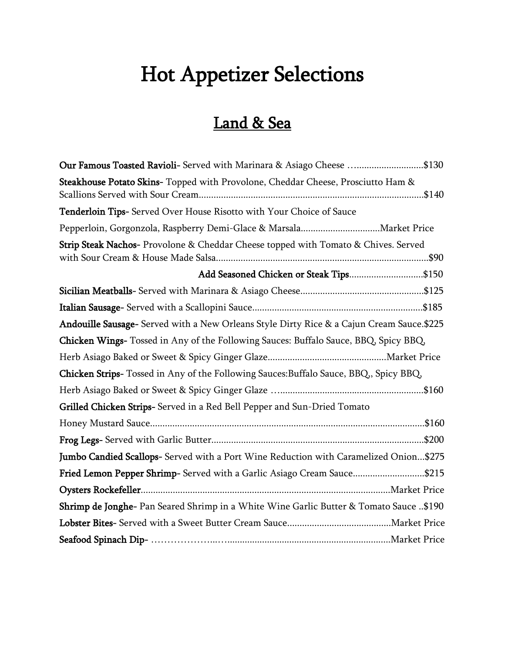# Hot Appetizer Selections

### Land & Sea

| Our Famous Toasted Ravioli- Served with Marinara & Asiago Cheese \$130                    |  |
|-------------------------------------------------------------------------------------------|--|
| Steakhouse Potato Skins- Topped with Provolone, Cheddar Cheese, Prosciutto Ham &          |  |
| Tenderloin Tips- Served Over House Risotto with Your Choice of Sauce                      |  |
|                                                                                           |  |
| Strip Steak Nachos- Provolone & Cheddar Cheese topped with Tomato & Chives. Served        |  |
| Add Seasoned Chicken or Steak Tips\$150                                                   |  |
|                                                                                           |  |
|                                                                                           |  |
| Andouille Sausage- Served with a New Orleans Style Dirty Rice & a Cajun Cream Sauce.\$225 |  |
| Chicken Wings- Tossed in Any of the Following Sauces: Buffalo Sauce, BBQ, Spicy BBQ,      |  |
|                                                                                           |  |
| Chicken Strips-Tossed in Any of the Following Sauces: Buffalo Sauce, BBQ, Spicy BBQ,      |  |
|                                                                                           |  |
| Grilled Chicken Strips- Served in a Red Bell Pepper and Sun-Dried Tomato                  |  |
|                                                                                           |  |
|                                                                                           |  |
| Jumbo Candied Scallops- Served with a Port Wine Reduction with Caramelized Onion\$275     |  |
| Fried Lemon Pepper Shrimp- Served with a Garlic Asiago Cream Sauce\$215                   |  |
|                                                                                           |  |
| Shrimp de Jonghe- Pan Seared Shrimp in a White Wine Garlic Butter & Tomato Sauce \$190    |  |
|                                                                                           |  |
|                                                                                           |  |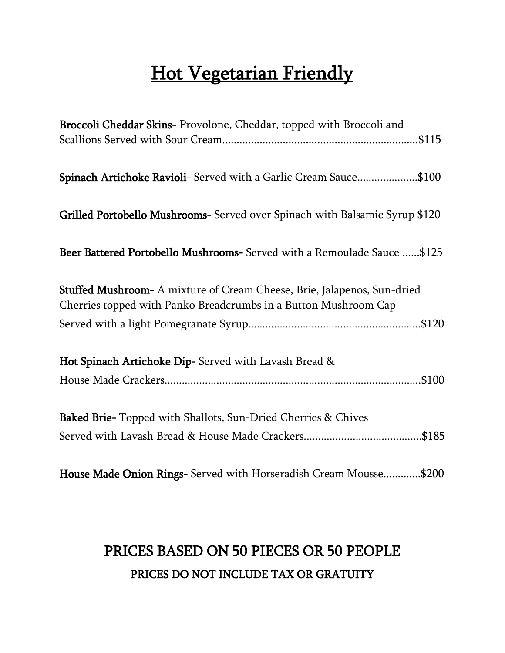# **Hot Vegetarian Friendly**

| Broccoli Cheddar Skins- Provolone, Cheddar, topped with Broccoli and        |
|-----------------------------------------------------------------------------|
|                                                                             |
| Spinach Artichoke Ravioli- Served with a Garlic Cream Sauce\$100            |
| Grilled Portobello Mushrooms- Served over Spinach with Balsamic Syrup \$120 |
| Beer Battered Portobello Mushrooms- Served with a Remoulade Sauce \$125     |
| Stuffed Mushroom- A mixture of Cream Cheese, Brie, Jalapenos, Sun-dried     |
| Cherries topped with Panko Breadcrumbs in a Button Mushroom Cap             |
|                                                                             |
| Hot Spinach Artichoke Dip- Served with Lavash Bread &                       |
|                                                                             |
| Baked Brie- Topped with Shallots, Sun-Dried Cherries & Chives               |
|                                                                             |
| House Made Onion Rings- Served with Horseradish Cream Mousse\$200           |

### PRICES BASED ON 50 PIECES OR 50 PEOPLE PRICES DO NOT INCLUDE TAX OR GRATUITY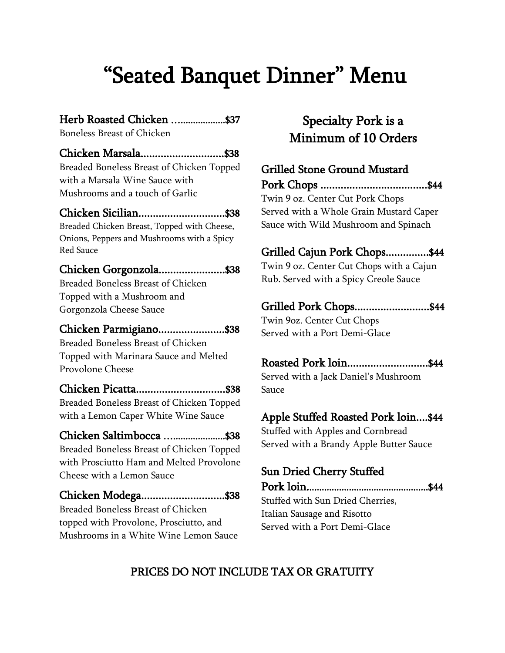# "Seated Banquet Dinner" Menu

#### Herb Roasted Chicken .....................\$37

Boneless Breast of Chicken

#### Chicken Marsala.............................\$38

Breaded Boneless Breast of Chicken Topped with a Marsala Wine Sauce with Mushrooms and a touch of Garlic

#### Chicken Sicilian..............................\$38

Breaded Chicken Breast, Topped with Cheese, Onions, Peppers and Mushrooms with a Spicy Red Sauce

#### Chicken Gorgonzola.......................\$38

Breaded Boneless Breast of Chicken Topped with a Mushroom and Gorgonzola Cheese Sauce

#### Chicken Parmigiano.......................\$38

Breaded Boneless Breast of Chicken Topped with Marinara Sauce and Melted Provolone Cheese

#### Chicken Picatta...............................\$38

Breaded Boneless Breast of Chicken Topped with a Lemon Caper White Wine Sauce

#### Chicken Saltimbocca ….....................\$38

Breaded Boneless Breast of Chicken Topped with Prosciutto Ham and Melted Provolone Cheese with a Lemon Sauce

#### Chicken Modega.............................\$38

Breaded Boneless Breast of Chicken topped with Provolone, Prosciutto, and Mushrooms in a White Wine Lemon Sauce

#### Specialty Pork is a Minimum of 10 Orders

#### Grilled Stone Ground Mustard

Pork Chops .....................................\$44 Twin 9 oz. Center Cut Pork Chops Served with a Whole Grain Mustard Caper Sauce with Wild Mushroom and Spinach

#### Grilled Cajun Pork Chops...............\$44

Twin 9 oz. Center Cut Chops with a Cajun Rub. Served with a Spicy Creole Sauce

#### Grilled Pork Chops..........................\$44

Twin 9oz. Center Cut Chops Served with a Port Demi-Glace

#### Roasted Pork loin............................\$44

Served with a Jack Daniel's Mushroom Sauce

#### Apple Stuffed Roasted Pork loin....\$44

Stuffed with Apples and Cornbread Served with a Brandy Apple Butter Sauce

#### Sun Dried Cherry Stuffed

Pork loin.................................................\$44 Stuffed with Sun Dried Cherries, Italian Sausage and Risotto Served with a Port Demi-Glace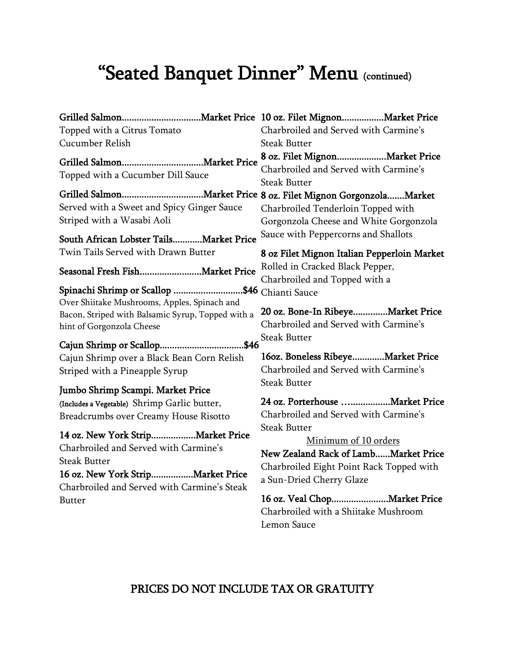# "Seated Banquet Dinner" Menu (continued)

Grilled Salmon................................Market Price 10 oz. Filet Mignon.................Market Price Topped with a Citrus Tomato Cucumber Relish Grilled Salmon.................................Market Price Topped with a Cucumber Dill Sauce Grilled Salmon.................................Market Price 8 oz. Filet Mignon Gorgonzola.......Market Served with a Sweet and Spicy Ginger Sauce Striped with a Wasabi Aoli South African Lobster Tails............Market Price Twin Tails Served with Drawn Butter Seasonal Fresh Fish.........................Market Price Spinachi Shrimp or Scallop ............................\$46 Chianti Sauce Over Shiitake Mushrooms, Apples, Spinach and Bacon, Striped with Balsamic Syrup, Topped with a hint of Gorgonzola Cheese Cajun Shrimp or Scallop..................................\$46 Cajun Shrimp over a Black Bean Corn Relish Striped with a Pineapple Syrup Jumbo Shrimp Scampi. Market Price (Includes a Vegetable) Shrimp Garlic butter, Breadcrumbs over Creamy House Risotto 14 oz. New York Strip..................Market Price Charbroiled and Served with Carmine's Steak Butter 16 oz. New York Strip.................Market Price Charbroiled and Served with Carmine's Steak Butter Steak Butter Steak Butter Steak Butter Steak Butter Steak Butter

# Charbroiled and Served with Carmine's

8 oz. Filet Mignon....................Market Price Charbroiled and Served with Carmine's

Charbroiled Tenderloin Topped with Gorgonzola Cheese and White Gorgonzola Sauce with Peppercorns and Shallots

8 oz Filet Mignon Italian Pepperloin Market Rolled in Cracked Black Pepper, Charbroiled and Topped with a

20 oz. Bone-In Ribeye..............Market Price Charbroiled and Served with Carmine's

16oz. Boneless Ribeye.............Market Price Charbroiled and Served with Carmine's

24 oz. Porterhouse …................Market Price Charbroiled and Served with Carmine's

Minimum of 10 orders New Zealand Rack of Lamb......Market Price Charbroiled Eight Point Rack Topped with a Sun-Dried Cherry Glaze

16 oz. Veal Chop.......................Market Price Charbroiled with a Shiitake Mushroom Lemon Sauce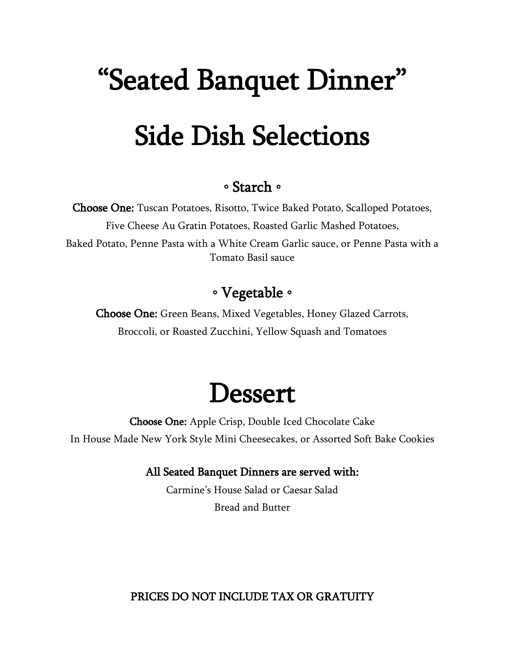# "Seated Banquet Dinner" Side Dish Selections

#### ◦ Starch ◦

Choose One: Tuscan Potatoes, Risotto, Twice Baked Potato, Scalloped Potatoes, Five Cheese Au Gratin Potatoes, Roasted Garlic Mashed Potatoes, Baked Potato, Penne Pasta with a White Cream Garlic sauce, or Penne Pasta with a Tomato Basil sauce

### ◦ Vegetable ◦

Choose One: Green Beans, Mixed Vegetables, Honey Glazed Carrots, Broccoli, or Roasted Zucchini, Yellow Squash and Tomatoes

# **Dessert**

Choose One: Apple Crisp, Double Iced Chocolate Cake In House Made New York Style Mini Cheesecakes, or Assorted Soft Bake Cookies

#### All Seated Banquet Dinners are served with:

Carmine's House Salad or Caesar Salad Bread and Butter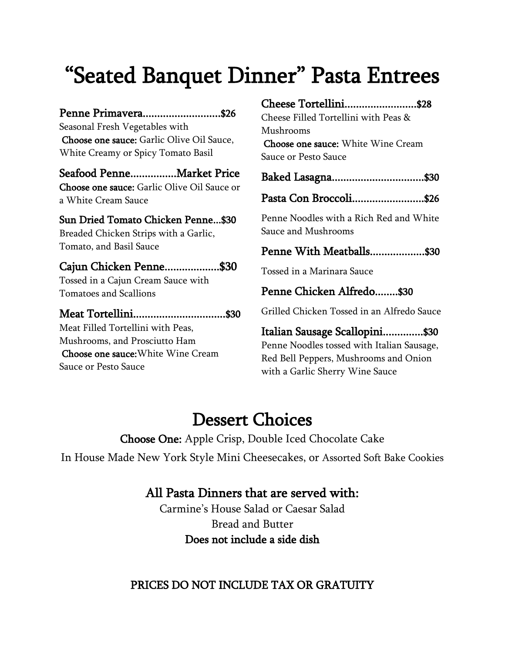# "Seated Banquet Dinner" Pasta Entrees

#### Penne Primavera...........................\$26

Seasonal Fresh Vegetables with Choose one sauce: Garlic Olive Oil Sauce, White Creamy or Spicy Tomato Basil

#### Seafood Penne................Market Price

Choose one sauce: Garlic Olive Oil Sauce or a White Cream Sauce

#### Sun Dried Tomato Chicken Penne...\$30

Breaded Chicken Strips with a Garlic, Tomato, and Basil Sauce

#### Cajun Chicken Penne...................\$30

Tossed in a Cajun Cream Sauce with Tomatoes and Scallions

#### Meat Tortellini................................\$30

Meat Filled Tortellini with Peas, Mushrooms, and Prosciutto Ham Choose one sauce:White Wine Cream Sauce or Pesto Sauce

#### Cheese Tortellini.........................\$28

Cheese Filled Tortellini with Peas & Mushrooms Choose one sauce: White Wine Cream Sauce or Pesto Sauce

#### Baked Lasagna................................\$30

Pasta Con Broccoli.........................\$26

Penne Noodles with a Rich Red and White Sauce and Mushrooms

#### Penne With Meatballs...................\$30

Tossed in a Marinara Sauce

#### Penne Chicken Alfredo........\$30

Grilled Chicken Tossed in an Alfredo Sauce

#### Italian Sausage Scallopini..............\$30

Penne Noodles tossed with Italian Sausage, Red Bell Peppers, Mushrooms and Onion with a Garlic Sherry Wine Sauce

### Dessert Choices

Choose One: Apple Crisp, Double Iced Chocolate Cake In House Made New York Style Mini Cheesecakes, or Assorted Soft Bake Cookies

#### All Pasta Dinners that are served with:

Carmine's House Salad or Caesar Salad Bread and Butter Does not include a side dish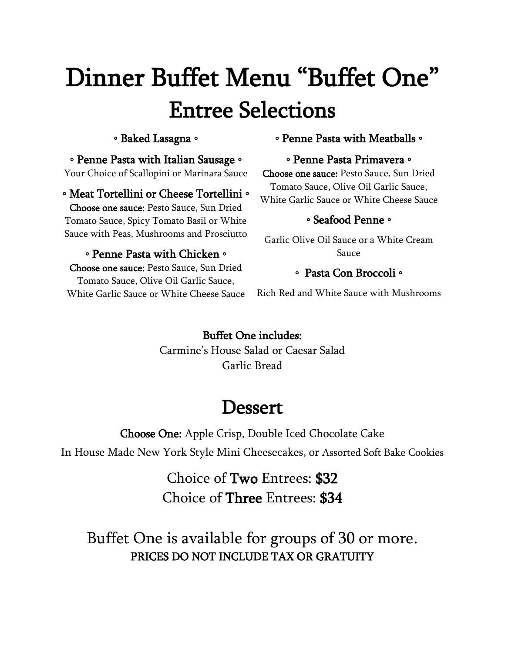# Dinner Buffet Menu "Buffet One" Entree Selections

#### ◦ Baked Lasagna ◦

#### ◦ Penne Pasta with Italian Sausage ◦

Your Choice of Scallopini or Marinara Sauce

◦ Meat Tortellini or Cheese Tortellini ◦ Choose one sauce: Pesto Sauce, Sun Dried Tomato Sauce, Spicy Tomato Basil or White Sauce with Peas, Mushrooms and Prosciutto

#### ◦ Penne Pasta with Chicken ◦

Choose one sauce: Pesto Sauce, Sun Dried Tomato Sauce, Olive Oil Garlic Sauce, White Garlic Sauce or White Cheese Sauce

#### ◦ Penne Pasta with Meatballs ◦

#### ◦ Penne Pasta Primavera ◦

Choose one sauce: Pesto Sauce, Sun Dried Tomato Sauce, Olive Oil Garlic Sauce, White Garlic Sauce or White Cheese Sauce

#### ◦ Seafood Penne ◦

Garlic Olive Oil Sauce or a White Cream Sauce

#### ◦ Pasta Con Broccoli ◦

Rich Red and White Sauce with Mushrooms

#### Buffet One includes: Carmine's House Salad or Caesar Salad Garlic Bread

# **Dessert**

Choose One: Apple Crisp, Double Iced Chocolate Cake In House Made New York Style Mini Cheesecakes, or Assorted Soft Bake Cookies

> Choice of Two Entrees: \$32 Choice of Three Entrees: \$34

Buffet One is available for groups of 30 or more. PRICES DO NOT INCLUDE TAX OR GRATUITY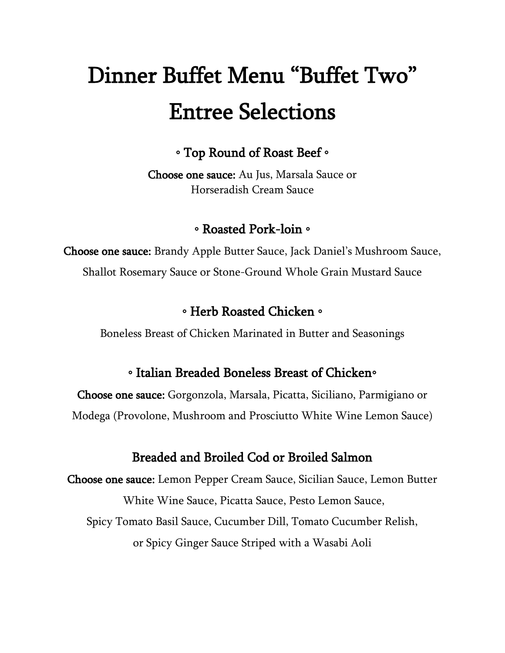# Dinner Buffet Menu "Buffet Two" Entree Selections

◦ Top Round of Roast Beef ◦

Choose one sauce: Au Jus, Marsala Sauce or Horseradish Cream Sauce

#### ◦ Roasted Pork-loin ◦

Choose one sauce: Brandy Apple Butter Sauce, Jack Daniel's Mushroom Sauce, Shallot Rosemary Sauce or Stone-Ground Whole Grain Mustard Sauce

#### ◦ Herb Roasted Chicken ◦

Boneless Breast of Chicken Marinated in Butter and Seasonings

#### ◦ Italian Breaded Boneless Breast of Chicken◦

Choose one sauce: Gorgonzola, Marsala, Picatta, Siciliano, Parmigiano or Modega (Provolone, Mushroom and Prosciutto White Wine Lemon Sauce)

#### Breaded and Broiled Cod or Broiled Salmon

Choose one sauce: Lemon Pepper Cream Sauce, Sicilian Sauce, Lemon Butter White Wine Sauce, Picatta Sauce, Pesto Lemon Sauce, Spicy Tomato Basil Sauce, Cucumber Dill, Tomato Cucumber Relish, or Spicy Ginger Sauce Striped with a Wasabi Aoli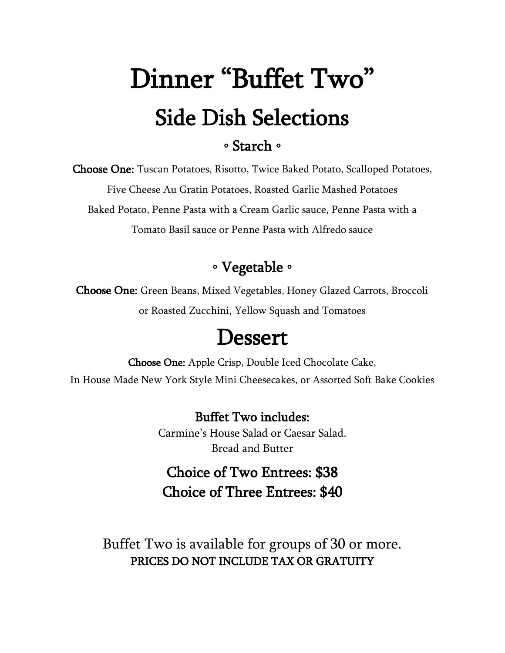# Dinner "Buffet Two" Side Dish Selections ◦ Starch ◦

Choose One: Tuscan Potatoes, Risotto, Twice Baked Potato, Scalloped Potatoes, Five Cheese Au Gratin Potatoes, Roasted Garlic Mashed Potatoes Baked Potato, Penne Pasta with a Cream Garlic sauce, Penne Pasta with a Tomato Basil sauce or Penne Pasta with Alfredo sauce

#### ◦ Vegetable ◦

Choose One: Green Beans, Mixed Vegetables, Honey Glazed Carrots, Broccoli or Roasted Zucchini, Yellow Squash and Tomatoes

# **Dessert**

Choose One: Apple Crisp, Double Iced Chocolate Cake, In House Made New York Style Mini Cheesecakes, or Assorted Soft Bake Cookies

> Buffet Two includes: Carmine's House Salad or Caesar Salad. Bread and Butter

### Choice of Two Entrees: \$38 Choice of Three Entrees: \$40

Buffet Two is available for groups of 30 or more. PRICES DO NOT INCLUDE TAX OR GRATUITY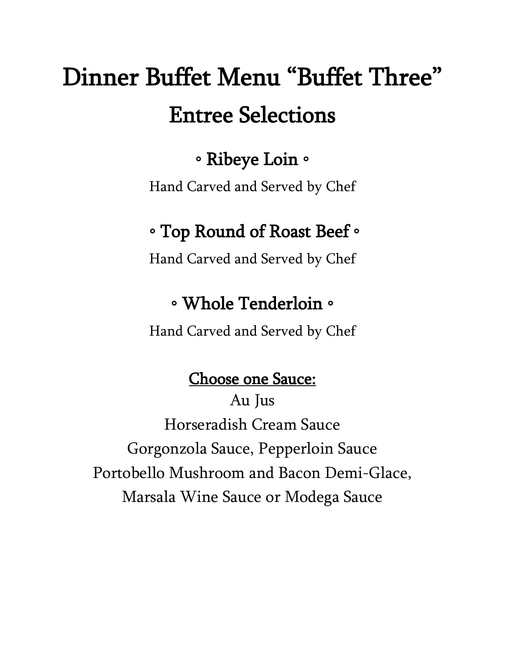# Dinner Buffet Menu "Buffet Three" Entree Selections

# ◦ Ribeye Loin ◦

Hand Carved and Served by Chef

# ◦ Top Round of Roast Beef ◦

Hand Carved and Served by Chef

### ◦ Whole Tenderloin ◦

Hand Carved and Served by Chef

### Choose one Sauce:

Au Jus Horseradish Cream Sauce Gorgonzola Sauce, Pepperloin Sauce Portobello Mushroom and Bacon Demi-Glace, Marsala Wine Sauce or Modega Sauce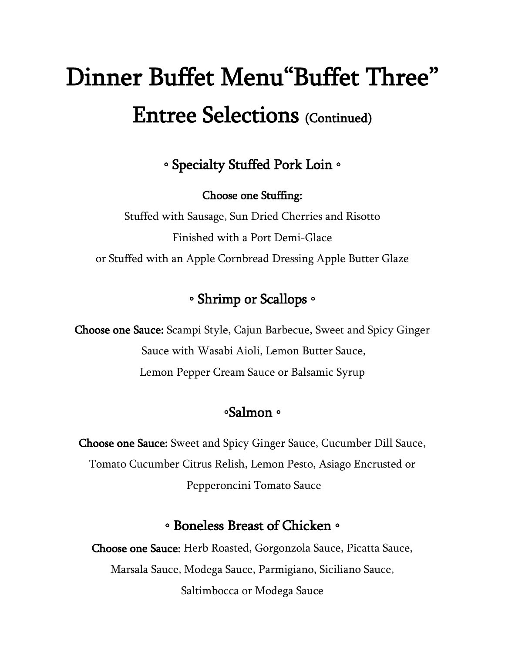# Dinner Buffet Menu"Buffet Three" Entree Selections (Continued)

◦ Specialty Stuffed Pork Loin ◦

Choose one Stuffing:

Stuffed with Sausage, Sun Dried Cherries and Risotto Finished with a Port Demi-Glace or Stuffed with an Apple Cornbread Dressing Apple Butter Glaze

### ◦ Shrimp or Scallops ◦

Choose one Sauce: Scampi Style, Cajun Barbecue, Sweet and Spicy Ginger Sauce with Wasabi Aioli, Lemon Butter Sauce, Lemon Pepper Cream Sauce or Balsamic Syrup

#### ◦Salmon ◦

Choose one Sauce: Sweet and Spicy Ginger Sauce, Cucumber Dill Sauce, Tomato Cucumber Citrus Relish, Lemon Pesto, Asiago Encrusted or Pepperoncini Tomato Sauce

#### ◦ Boneless Breast of Chicken ◦

Choose one Sauce: Herb Roasted, Gorgonzola Sauce, Picatta Sauce, Marsala Sauce, Modega Sauce, Parmigiano, Siciliano Sauce, Saltimbocca or Modega Sauce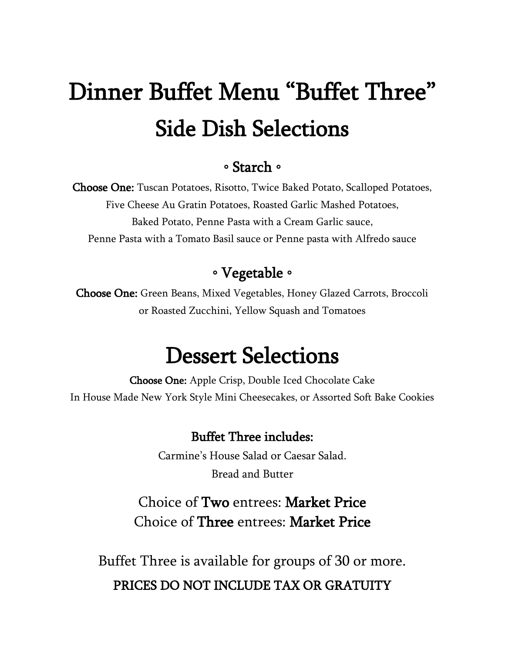# Dinner Buffet Menu "Buffet Three" Side Dish Selections

#### ◦ Starch ◦

Choose One: Tuscan Potatoes, Risotto, Twice Baked Potato, Scalloped Potatoes, Five Cheese Au Gratin Potatoes, Roasted Garlic Mashed Potatoes, Baked Potato, Penne Pasta with a Cream Garlic sauce, Penne Pasta with a Tomato Basil sauce or Penne pasta with Alfredo sauce

### ◦ Vegetable ◦

Choose One: Green Beans, Mixed Vegetables, Honey Glazed Carrots, Broccoli or Roasted Zucchini, Yellow Squash and Tomatoes

# Dessert Selections

Choose One: Apple Crisp, Double Iced Chocolate Cake In House Made New York Style Mini Cheesecakes, or Assorted Soft Bake Cookies

#### Buffet Three includes:

Carmine's House Salad or Caesar Salad. Bread and Butter

### Choice of Two entrees: Market Price Choice of Three entrees: Market Price

Buffet Three is available for groups of 30 or more. PRICES DO NOT INCLUDE TAX OR GRATUITY